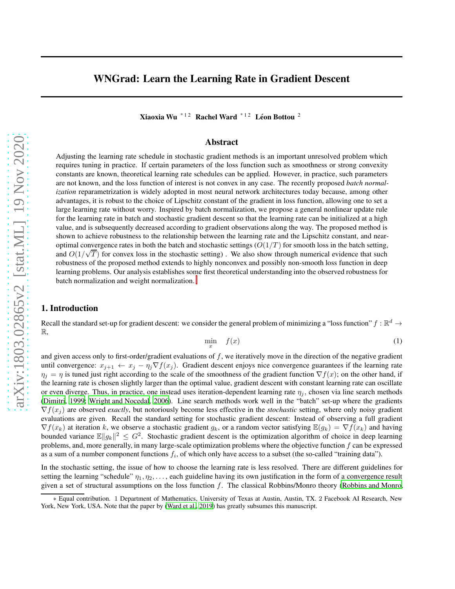Xiaoxia Wu $^{*12}$  Rachel Ward  $^{*12}$  Léon Bottou <sup>2</sup>

### Abstract

Adjusting the learning rate schedule in stochastic gradient methods is an important unresolved problem which requires tuning in practice. If certain parameters of the loss function such as smoothness or strong convexity constants are known, theoretical learning rate schedules can be applied. However, in practice, such parameters are not known, and the loss function of interest is not convex in any case. The recently proposed *batch normalization* reparametrization is widely adopted in most neural network architectures today because, among other advantages, it is robust to the choice of Lipschitz constant of the gradient in loss function, allowing one to set a large learning rate without worry. Inspired by batch normalization, we propose a general nonlinear update rule for the learning rate in batch and stochastic gradient descent so that the learning rate can be initialized at a high value, and is subsequently decreased according to gradient observations along the way. The proposed method is shown to achieve robustness to the relationship between the learning rate and the Lipschitz constant, and nearoptimal convergence rates in both the batch and stochastic settings  $(O(1/T))$  for smooth loss in the batch setting, and  $O(1/\sqrt{T})$  for convex loss in the stochastic setting). We also show through numerical evidence that such robustness of the proposed method extends to highly nonconvex and possibly non-smooth loss function in deep learning problems. Our analysis establishes so[m](#page-0-0)e first theoretical understanding into the observed robustness for batch normalization and weight normalization.

# 1. Introduction

Recall the standard set-up for gradient descent: we consider the general problem of minimizing a "loss function"  $f : \mathbb{R}^d \to$ R,

$$
\min_{x} \quad f(x) \tag{1}
$$

and given access only to first-order/gradient evaluations of  $f$ , we iteratively move in the direction of the negative gradient until convergence:  $x_{j+1} \leftarrow x_j - \eta_j \nabla f(x_j)$ . Gradient descent enjoys nice convergence guarantees if the learning rate  $\eta_i = \eta$  is tuned just right according to the scale of the smoothness of the gradient function  $\nabla f(x)$ ; on the other hand, if the learning rate is chosen slightly larger than the optimal value, gradient descent with constant learning rate can oscillate or even diverge. Thus, in practice, one instead uses iteration-dependent learning rate  $\eta_i$ , chosen via line search methods [\(Dimitri, 1999;](#page-10-0) [Wright and Nocedal, 2006\)](#page-11-0). Line search methods work well in the "batch" set-up where the gradients  $\nabla f(x_i)$  are observed *exactly*, but notoriously become less effective in the *stochastic* setting, where only noisy gradient evaluations are given. Recall the standard setting for stochastic gradient descent: Instead of observing a full gradient  $\nabla f(x_k)$  at iteration k, we observe a stochastic gradient  $g_k$ , or a random vector satisfying  $\mathbb{E}(g_k) = \nabla f(x_k)$  and having bounded variance  $\mathbb{E} \|g_k\|^2 \leq G^2$ . Stochastic gradient descent is the optimization algorithm of choice in deep learning problems, and, more generally, in many large-scale optimization problems where the objective function  $f$  can be expressed as a sum of a number component functions  $f_i$ , of which only have access to a subset (the so-called "training data").

In the stochastic setting, the issue of how to choose the learning rate is less resolved. There are different guidelines for setting the learning "schedule"  $\eta_1, \eta_2, \ldots$ , each guideline having its own justification in the form of a convergence result given a set of structural assumptions on the loss function  $f$ . The classical Robbins/Monro theory [\(Robbins and Monro](#page-11-1),

<span id="page-0-0"></span><sup>∗</sup> Equal contribution. 1 Department of Mathematics, University of Texas at Austin, Austin, TX. 2 Facebook AI Research, New York, New York, USA. Note that the paper by [\(Ward et al., 2019](#page-11-2)) has greatly subsumes this manuscript.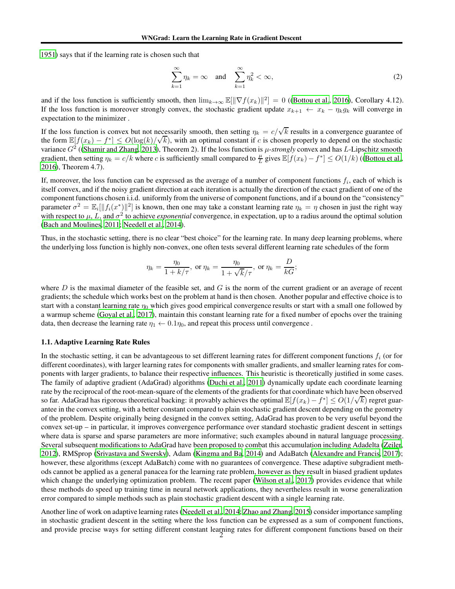[1951\)](#page-11-1) says that if the learning rate is chosen such that

$$
\sum_{k=1}^{\infty} \eta_k = \infty \quad \text{and} \quad \sum_{k=1}^{\infty} \eta_k^2 < \infty,\tag{2}
$$

and if the loss function is sufficiently smooth, then  $\lim_{k\to\infty} \mathbb{E}[\|\nabla f(x_k)\|^2] = 0$  ([\(Bottou et al.](#page-10-1), [2016](#page-10-1)), Corollary 4.12). If the loss function is moreover strongly convex, the stochastic gradient update  $x_{k+1} \leftarrow x_k - \eta_k g_k$  will converge in expectation to the minimizer .

If the loss function is convex but not necessarily smooth, then setting  $\eta_k = c/\sqrt{k}$  results in a convergence guarantee of the form  $\mathbb{E}[f(x_k) - f^*] \le O(\log(k)/\sqrt{k})$ , with an optimal constant if c is chosen properly to depend on the stochastic variance  $G^2$  ([\(Shamir and Zhang, 2013\)](#page-11-3), Theorem 2). If the loss function is  $\mu$ -*strongly* convex and has L-Lipschitz smooth gradient, then setting  $\eta_k = c/k$  where c is sufficiently small compared to  $\frac{\mu}{L}$  gives  $\mathbb{E}[f(x_k) - f^*] \le O(1/k)$  ([\(Bottou et al.](#page-10-1), [2016\)](#page-10-1), Theorem 4.7).

If, moreover, the loss function can be expressed as the average of a number of component functions  $f_i$ , each of which is itself convex, and if the noisy gradient direction at each iteration is actually the direction of the exact gradient of one of the component functions chosen i.i.d. uniformly from the universe of component functions, and if a bound on the "consistency" parameter  $\sigma^2 = \mathbb{E}_i[||f_i(x^*)||^2]$  is known, then one may take a constant learning rate  $\eta_k = \eta$  chosen in just the right way with respect to  $\mu$ , L, and  $\sigma^2$  to achieve *exponential* convergence, in expectation, up to a radius around the optimal solution [\(Bach and Moulines, 2011;](#page-10-2) [Needell et al., 2014\)](#page-10-3).

Thus, in the stochastic setting, there is no clear "best choice" for the learning rate. In many deep learning problems, where the underlying loss function is highly non-convex, one often tests several different learning rate schedules of the form

$$
\eta_k = \frac{\eta_0}{1 + k/\tau}
$$
, or  $\eta_k = \frac{\eta_0}{1 + \sqrt{k}/\tau}$ , or  $\eta_k = \frac{D}{kG}$ ;

where D is the maximal diameter of the feasible set, and G is the norm of the current gradient or an average of recent gradients; the schedule which works best on the problem at hand is then chosen. Another popular and effective choice is to start with a constant learning rate  $\eta_0$  which gives good empirical convergence results or start with a small one followed by a warmup scheme [\(Goyal et al., 2017\)](#page-10-4), maintain this constant learning rate for a fixed number of epochs over the training data, then decrease the learning rate  $\eta_1 \leftarrow 0.1\eta_0$ , and repeat this process until convergence.

#### 1.1. Adaptive Learning Rate Rules

In the stochastic setting, it can be advantageous to set different learning rates for different component functions  $f_i$  (or for different coordinates), with larger learning rates for components with smaller gradients, and smaller learning rates for components with larger gradients, to balance their respective influences. This heuristic is theoretically justified in some cases. The family of adaptive gradient (AdaGrad) algorithms [\(Duchi et al.](#page-10-5), [2011\)](#page-10-5) dynamically update each coordinate learning rate by the reciprocal of the root-mean-square of the elements of the gradients for that coordinate which have been observed so far. AdaGrad has rigorous theoretical backing: it provably achieves the optimal  $\mathbb{E}[f(x_k) - f^*] \leq O(1/\sqrt{k})$  regret guarantee in the convex setting, with a better constant compared to plain stochastic gradient descent depending on the geometry of the problem. Despite originally being designed in the convex setting, AdaGrad has proven to be very useful beyond the convex set-up – in particular, it improves convergence performance over standard stochastic gradient descent in settings where data is sparse and sparse parameters are more informative; such examples abound in natural language processing. Several subsequent modifications to AdaGrad have been proposed to combat this accumulation including Adadelta [\(Zeiler](#page-11-4), [2012\)](#page-11-4), RMSprop [\(Srivastava and Swersky\)](#page-11-5), Adam [\(Kingma and Ba, 2014](#page-10-6)) and AdaBatch [\(Alexandre and Francis, 2017](#page-10-7)); however, these algorithms (except AdaBatch) come with no guarantees of convergence. These adaptive subgradient methods cannot be applied as a general panacea for the learning rate problem, however as they result in biased gradient updates which change the underlying optimization problem. The recent paper [\(Wilson et al., 2017\)](#page-11-6) provides evidence that while these methods do speed up training time in neural network applications, they nevertheless result in worse generalization error compared to simple methods such as plain stochastic gradient descent with a single learning rate.

Another line of work on adaptive learning rates [\(Needell et al.](#page-10-3), [2014;](#page-10-3) [Zhao and Zhang, 2015\)](#page-11-7) consider importance sampling in stochastic gradient descent in the setting where the loss function can be expressed as a sum of component functions, and provide precise ways for setting different constant learning rates for different component functions based on their 2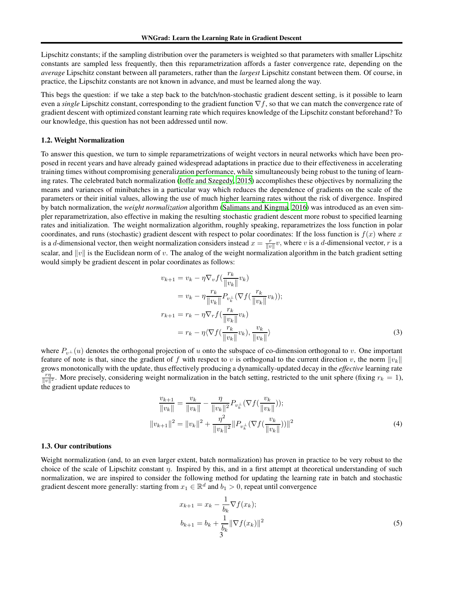Lipschitz constants; if the sampling distribution over the parameters is weighted so that parameters with smaller Lipschitz constants are sampled less frequently, then this reparametrization affords a faster convergence rate, depending on the *average* Lipschitz constant between all parameters, rather than the *largest* Lipschitz constant between them. Of course, in practice, the Lipschitz constants are not known in advance, and must be learned along the way.

This begs the question: if we take a step back to the batch/non-stochastic gradient descent setting, is it possible to learn even a *single* Lipschitz constant, corresponding to the gradient function ∇f, so that we can match the convergence rate of gradient descent with optimized constant learning rate which requires knowledge of the Lipschitz constant beforehand? To our knowledge, this question has not been addressed until now.

#### 1.2. Weight Normalization

To answer this question, we turn to simple reparametrizations of weight vectors in neural networks which have been proposed in recent years and have already gained widespread adaptations in practice due to their effectiveness in accelerating training times without compromising generalization performance, while simultaneously being robust to the tuning of learning rates. The celebrated batch normalization [\(Ioffe and Szegedy, 2015\)](#page-10-8) accomplishes these objectives by normalizing the means and variances of minibatches in a particular way which reduces the dependence of gradients on the scale of the parameters or their initial values, allowing the use of much higher learning rates without the risk of divergence. Inspired by batch normalization, the *weight normalization* algorithm [\(Salimans and Kingma, 2016\)](#page-11-8) was introduced as an even simpler reparametrization, also effective in making the resulting stochastic gradient descent more robust to specified learning rates and initialization. The weight normalization algorithm, roughly speaking, reparametrizes the loss function in polar coordinates, and runs (stochastic) gradient descent with respect to polar coordinates: If the loss function is  $f(x)$  where x is a d-dimensional vector, then weight normalization considers instead  $x = \frac{r}{||v||}v$ , where v is a d-dimensional vector, r is a scalar, and  $||v||$  is the Euclidean norm of v. The analog of the weight normalization algorithm in the batch gradient setting would simply be gradient descent in polar coordinates as follows:

$$
v_{k+1} = v_k - \eta \nabla_v f\left(\frac{r_k}{\|v_k\|} v_k\right)
$$
  
\n
$$
= v_k - \eta \frac{r_k}{\|v_k\|} P_{v_k^{\perp}} \left(\nabla f\left(\frac{r_k}{\|v_k\|} v_k\right)\right);
$$
  
\n
$$
r_{k+1} = r_k - \eta \nabla_r f\left(\frac{r_k}{\|v_k\|} v_k\right)
$$
  
\n
$$
= r_k - \eta \left(\nabla f\left(\frac{r_k}{\|v_k\|} v_k\right), \frac{v_k}{\|v_k\|}\right)
$$
\n(3)

where  $P_{v\perp}(u)$  denotes the orthogonal projection of u onto the subspace of co-dimension orthogonal to v. One important feature of note is that, since the gradient of f with respect to v is orthogonal to the current direction v, the norm  $||v_k||$ grows monotonically with the update, thus effectively producing a dynamically-updated decay in the *effective* learning rate  $\frac{r\eta}{\|v\|^2}$ . More precisely, considering weight normalization in the batch setting, restricted to the unit sphere (fixing  $r_k = 1$ ), the gradient update reduces to

$$
\frac{v_{k+1}}{\|v_k\|} = \frac{v_k}{\|v_k\|} - \frac{\eta}{\|v_k\|^2} P_{v_k^\perp} (\nabla f(\frac{v_k}{\|v_k\|}));
$$
  

$$
\|v_{k+1}\|^2 = \|v_k\|^2 + \frac{\eta^2}{\|v_k\|^2} \|P_{v_k^\perp} (\nabla f(\frac{v_k}{\|v_k\|}))\|^2
$$
 (4)

#### 1.3. Our contributions

Weight normalization (and, to an even larger extent, batch normalization) has proven in practice to be very robust to the choice of the scale of Lipschitz constant  $\eta$ . Inspired by this, and in a first attempt at theoretical understanding of such normalization, we are inspired to consider the following method for updating the learning rate in batch and stochastic gradient descent more generally: starting from  $x_1 \in \mathbb{R}^d$  and  $b_1 > 0$ , repeat until convergence

<span id="page-2-1"></span><span id="page-2-0"></span>
$$
x_{k+1} = x_k - \frac{1}{b_k} \nabla f(x_k);
$$
  

$$
b_{k+1} = b_k + \frac{1}{b_k} \|\nabla f(x_k)\|^2
$$
 (5)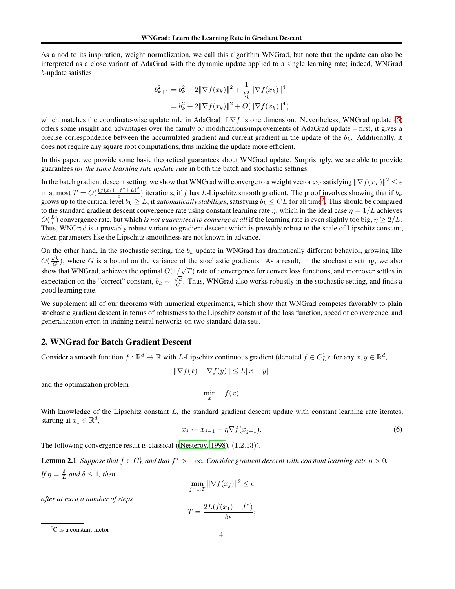As a nod to its inspiration, weight normalization, we call this algorithm WNGrad, but note that the update can also be interpreted as a close variant of AdaGrad with the dynamic update applied to a single learning rate; indeed, WNGrad b-update satisfies

$$
b_{k+1}^2 = b_k^2 + 2\|\nabla f(x_k)\|^2 + \frac{1}{b_k^2} \|\nabla f(x_k)\|^4
$$
  
=  $b_k^2 + 2\|\nabla f(x_k)\|^2 + O(\|\nabla f(x_k)\|^4)$ 

which matches the coordinate-wise update rule in AdaGrad if  $\nabla f$  is one dimension. Nevertheless, WNGrad update [\(5\)](#page-2-0) offers some insight and advantages over the family or modifications/improvements of AdaGrad update – first, it gives a precise correspondence between the accumulated gradient and current gradient in the update of the  $b_k$ . Additionally, it does not require any square root computations, thus making the update more efficient.

In this paper, we provide some basic theoretical guarantees about WNGrad update. Surprisingly, we are able to provide guarantees *for the same learning rate update rule* in both the batch and stochastic settings.

In the batch gradient descent setting, we show that WNGrad will converge to a weight vector  $x_T$  satisfying  $\|\nabla f(x_T)\|^2 \leq \epsilon$ in at most  $T = O(\frac{(f(x_1) - f^* + L)^2}{f})$  $\frac{f(t+h)}{\epsilon}$ ) iterations, if f has L-Lipschitz smooth gradient. The proof involves showing that if  $b_k$ grows up to the critical level  $b_k \ge L$ , it *automatically stabilizes*, satisfying  $b_k \le CL$  for all time<sup>[2](#page-3-0)</sup>. This should be compared to the standard gradient descent convergence rate using constant learning rate  $\eta$ , which in the ideal case  $\eta = 1/L$  achieves  $O(\frac{L}{\epsilon})$  convergence rate, but which *is not guaranteed to converge at all* if the learning rate is even slightly too big,  $\eta \ge 2/L$ . Thus, WNGrad is a provably robust variant to gradient descent which is provably robust to the scale of Lipschitz constant, when parameters like the Lipschitz smoothness are not known in advance.

On the other hand, in the stochastic setting, the  $b_k$  update in WNGrad has dramatically different behavior, growing like  $O(\frac{\sqrt{k}}{G})$ , where G is a bound on the variance of the stochastic gradients. As a result, in the stochastic setting, we also G show that WNGrad, achieves the optimal  $O(1/\sqrt{T})$  rate of convergence for convex loss functions, and moreover settles in expectation on the "correct" constant,  $b_k \sim \frac{\sqrt{k}}{G}$ . Thus, WNGrad also works robustly in the stochastic setting, and finds a good learning rate.

We supplement all of our theorems with numerical experiments, which show that WNGrad competes favorably to plain stochastic gradient descent in terms of robustness to the Lipschitz constant of the loss function, speed of convergence, and generalization error, in training neural networks on two standard data sets.

### 2. WNGrad for Batch Gradient Descent

Consider a smooth function  $f : \mathbb{R}^d \to \mathbb{R}$  with L-Lipschitz continuous gradient (denoted  $f \in C_L^1$ ): for any  $x, y \in \mathbb{R}^d$ ,

$$
\|\nabla f(x) - \nabla f(y)\| \le L\|x - y\|
$$

and the optimization problem

<span id="page-3-1"></span>
$$
\min_{x} \quad f(x).
$$

With knowledge of the Lipschitz constant  $L$ , the standard gradient descent update with constant learning rate iterates, starting at  $x_1 \in \mathbb{R}^d$ ,

$$
x_j \leftarrow x_{j-1} - \eta \nabla f(x_{j-1}). \tag{6}
$$

The following convergence result is classical ([\(Nesterov,](#page-11-9) [1998\)](#page-11-9), (1.2.13)).

**Lemma 2.1** *Suppose that*  $f \in C_L^1$  *and that*  $f^* > -\infty$ *. Consider gradient descent with constant learning rate*  $\eta > 0$ *. If*  $\eta = \frac{\delta}{L}$  and  $\delta \leq 1$ *, then* 

 $\overline{\jmath}$ 

$$
\min_{i=1:T} \|\nabla f(x_j)\|^2 \le \epsilon
$$

*after at most a number of steps*

$$
T = \frac{2L(f(x_1) - f^*)}{\delta \epsilon};
$$

<span id="page-3-0"></span> ${}^{2}C$  is a constant factor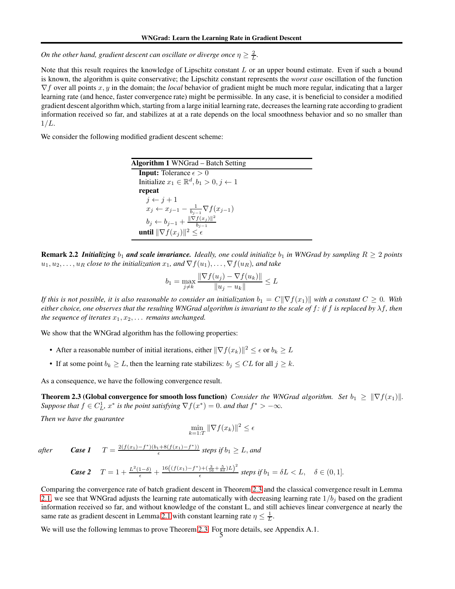*On the other hand, gradient descent can oscillate or diverge once*  $\eta \geq \frac{2}{L}$ *.* 

Note that this result requires the knowledge of Lipschitz constant  $L$  or an upper bound estimate. Even if such a bound is known, the algorithm is quite conservative; the Lipschitz constant represents the *worst case* oscillation of the function ∇f over all points x, y in the domain; the *local* behavior of gradient might be much more regular, indicating that a larger learning rate (and hence, faster convergence rate) might be permissible. In any case, it is beneficial to consider a modified gradient descent algorithm which, starting from a large initial learning rate, decreases the learning rate according to gradient information received so far, and stabilizes at at a rate depends on the local smoothness behavior and so no smaller than  $1/L$ .

We consider the following modified gradient descent scheme:

Algorithm 1 WNGrad – Batch Setting **Input:** Tolerance  $\epsilon > 0$ Initialize  $x_1 \in \mathbb{R}^d$ ,  $b_1 > 0$ ,  $j \leftarrow 1$ repeat  $j \leftarrow j + 1$  $x_j \leftarrow x_{j-1} - \frac{1}{b_{j-1}} \nabla f(x_{j-1})$  $b_j \leftarrow b_{j-1} + \frac{\|\nabla f(x_j)\|^2}{b_{j-1}}$  $b_{j-1}$ until  $\|\nabla f(x_j)\|^2 \leq \epsilon$ 

**Remark 2.2** *Initializing*  $b_1$  *and scale invariance. Ideally, one could initialize*  $b_1$  *in WNGrad by sampling*  $R \ge 2$  *points*  $u_1, u_2, \ldots, u_R$  *close to the initialization*  $x_1$ *, and*  $\nabla f(u_1), \ldots, \nabla f(u_R)$ *, and take* 

$$
b_1 = \max_{j \neq k} \frac{\|\nabla f(u_j) - \nabla f(u_k)\|}{\|u_j - u_k\|} \le L
$$

*If this is not possible, it is also reasonable to consider an initialization*  $b_1 = C||\nabla f(x_1)||$  with a constant  $C \geq 0$ . With *either choice, one observes that the resulting WNGrad algorithm is invariant to the scale of* f*: if* f *is replaced by* λf*, then the sequence of iterates*  $x_1, x_2, \ldots$  *remains unchanged.* 

We show that the WNGrad algorithm has the following properties:

- After a reasonable number of initial iterations, either  $\|\nabla f(x_k)\|^2 \leq \epsilon$  or  $b_k \geq L$
- If at some point  $b_k \geq L$ , then the learning rate stabilizes:  $b_j \leq CL$  for all  $j \geq k$ .

<span id="page-4-0"></span>As a consequence, we have the following convergence result.

**Theorem 2.3 (Global convergence for smooth loss function)** *Consider the WNGrad algorithm.* Set  $b_1 \geq \|\nabla f(x_1)\|$ *. Suppose that*  $f \in C^1_L$ ,  $x^*$  *is the point satisfying*  $\nabla f(x^*) = 0$ *. and that*  $f^* > -\infty$ *.* 

*Then we have the guarantee*

$$
\min_{k=1:T} \|\nabla f(x_k)\|^2 \le \epsilon
$$

*after Case 1*  $T = \frac{2(f(x_1) - f^*)(b_1 + 8(f(x_1) - f^*))}{f}$ 

Case 2 
$$
T = 1 + \frac{L^2(1-\delta)}{\epsilon} + \frac{16\left((f(x_1) - f^*) + (\frac{3}{16} + \frac{5}{8\delta})L\right)^2}{\epsilon} \text{ steps if } b_1 = \delta L < L, \quad \delta \in (0,1].
$$

 $\frac{a_1 + 8(f(x_1) - f)}{e}$  steps if  $b_1 \geq L$ , and

Comparing the convergence rate of batch gradient descent in Theorem [2.3](#page-4-0) and the classical convergence result in Lemma [2.1,](#page-3-1) we see that WNGrad adjusts the learning rate automatically with decreasing learning rate  $1/b_j$  based on the gradient information received so far, and without knowledge of the constant L, and still achieves linear convergence at nearly the same rate as gradient descent in Lemma [2.1](#page-3-1) with constant learning rate  $\eta \leq \frac{1}{L}$ .

<span id="page-4-1"></span>We will use the following lemmas to prove Theorem [2.3.](#page-4-0) For more details, see Appendix A.1.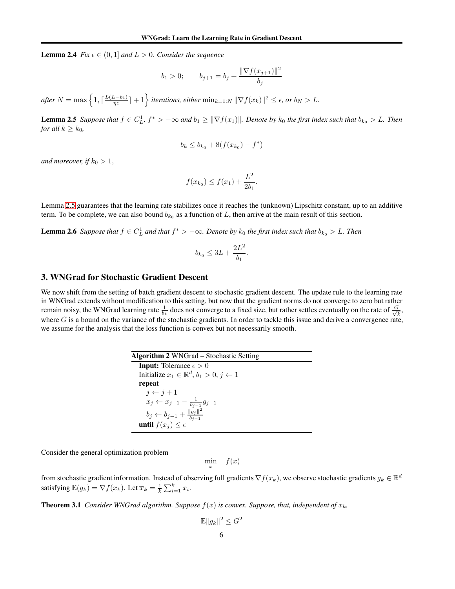**Lemma 2.4** *Fix*  $\epsilon \in (0, 1]$  *and*  $L > 0$ *. Consider the sequence* 

$$
b_1 > 0;
$$
  $b_{j+1} = b_j + \frac{\|\nabla f(x_{j+1})\|^2}{b_j}$ 

<span id="page-5-0"></span> $\textit{after } N = \max\left\{1, \lceil \frac{L(L-b_1)}{\eta \epsilon} \rceil + 1\right\}$  iterations, either  $\min_{k=1:N} \|\nabla f(x_k)\|^2 \leq \epsilon$ , or  $b_N > L$ .

**Lemma 2.5** *Suppose that*  $f \in C_L^1$ ,  $f^* > -\infty$  *and*  $b_1 \ge ||\nabla f(x_1)||$ *. Denote by*  $k_0$  *the first index such that*  $b_{k_0} > L$ *. Then for all*  $k \geq k_0$ *,* 

$$
b_k \le b_{k_0} + 8(f(x_{k_0}) - f^*)
$$

*and moreover, if*  $k_0 > 1$ ,

$$
f(x_{k_0}) \le f(x_1) + \frac{L^2}{2b_1}.
$$

<span id="page-5-2"></span>Lemma [2.5](#page-5-0) guarantees that the learning rate stabilizes once it reaches the (unknown) Lipschitz constant, up to an additive term. To be complete, we can also bound  $b_{k_0}$  as a function of L, then arrive at the main result of this section.

**Lemma 2.6** Suppose that  $f \in C_L^1$  and that  $f^* > -\infty$ . Denote by  $k_0$  the first index such that  $b_{k_0} > L$ . Then

$$
b_{k_0} \le 3L + \frac{2L^2}{b_1}.
$$

### 3. WNGrad for Stochastic Gradient Descent

We now shift from the setting of batch gradient descent to stochastic gradient descent. The update rule to the learning rate in WNGrad extends without modification to this setting, but now that the gradient norms do not converge to zero but rather remain noisy, the WNGrad learning rate  $\frac{1}{b_k}$  does not converge to a fixed size, but rather settles eventually on the rate of  $\frac{G}{\sqrt{l}}$  $\frac{k}{k}$ , where  $G$  is a bound on the variance of the stochastic gradients. In order to tackle this issue and derive a convergence rate, we assume for the analysis that the loss function is convex but not necessarily smooth.

<span id="page-5-3"></span>

| <b>Algorithm 2</b> WNGrad – Stochastic Setting                   |  |  |  |
|------------------------------------------------------------------|--|--|--|
| <b>Input:</b> Tolerance $\epsilon > 0$                           |  |  |  |
| Initialize $x_1 \in \mathbb{R}^d$ , $b_1 > 0$ , $j \leftarrow 1$ |  |  |  |
| repeat                                                           |  |  |  |
| $j \leftarrow j + 1$                                             |  |  |  |
| $x_j \leftarrow x_{j-1} - \frac{1}{b_{j-1}} g_{j-1}$             |  |  |  |
| $b_j \leftarrow b_{j-1} + \frac{  g_j  ^2}{b_{j-1}}$             |  |  |  |
| until $f(x_i) \leq \epsilon$                                     |  |  |  |

Consider the general optimization problem

 $\min_{x} f(x)$ 

<span id="page-5-1"></span>from stochastic gradient information. Instead of observing full gradients  $\nabla f(x_k)$ , we observe stochastic gradients  $g_k \in \mathbb{R}^d$ satisfying  $\mathbb{E}(g_k) = \nabla f(x_k)$ . Let  $\overline{x}_k = \frac{1}{k} \sum_{i=1}^k x_i$ .

**Theorem 3.1** *Consider WNGrad algorithm. Suppose*  $f(x)$  *is convex. Suppose, that, independent of*  $x_k$ *,* 

$$
\mathbb{E} \|g_k\|^2 \le G^2
$$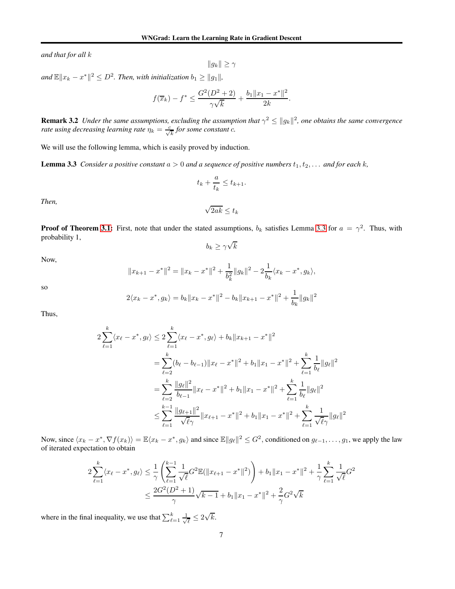*and that for all* k

 $||g_k|| \geq \gamma$ 

 $\| \mathbf{x}_k - x^* \|^2 \leq D^2$ . Then, with initialization  $b_1 \geq \| g_1 \|$ ,

$$
f(\overline{x}_k) - f^* \le \frac{G^2(D^2 + 2)}{\gamma \sqrt{k}} + \frac{b_1 \|x_1 - x^*\|^2}{2k}.
$$

**Remark 3.2** Under the same assumptions, excluding the assumption that  $\gamma^2 \leq ||g_k||^2$ , one obtains the same convergence *rate using decreasing learning rate*  $\eta_k = \frac{c}{\sqrt{k}}$  for some constant c.

<span id="page-6-0"></span>We will use the following lemma, which is easily proved by induction.

**Lemma 3.3** *Consider a positive constant*  $a > 0$  *and a sequence of positive numbers*  $t_1, t_2, \ldots$  *and for each* k,

$$
t_k + \frac{a}{t_k} \le t_{k+1}.
$$

*Then,*

$$
\sqrt{2ak} \le t_k
$$

**Proof of Theorem [3.1:](#page-5-1)** First, note that under the stated assumptions,  $b_k$  satisfies Lemma [3.3](#page-6-0) for  $a = \gamma^2$ . Thus, with probability 1,

$$
b_k \ge \gamma \sqrt{k}
$$

Now,

$$
||x_{k+1} - x^*||^2 = ||x_k - x^*||^2 + \frac{1}{b_k^2} ||g_k||^2 - 2\frac{1}{b_k} \langle x_k - x^*, g_k \rangle,
$$

so

$$
2\langle x_k - x^*, g_k \rangle = b_k \|x_k - x^*\|^2 - b_k \|x_{k+1} - x^*\|^2 + \frac{1}{b_k} \|g_k\|^2
$$

Thus,

$$
2\sum_{\ell=1}^{k} \langle x_{\ell} - x^*, g_{\ell} \rangle \le 2\sum_{\ell=1}^{k} \langle x_{\ell} - x^*, g_{\ell} \rangle + b_{k} \|x_{k+1} - x^*\|^2
$$
  
= 
$$
\sum_{\ell=2}^{k} (b_{\ell} - b_{\ell-1}) \|x_{\ell} - x^*\|^2 + b_{1} \|x_{1} - x^*\|^2 + \sum_{\ell=1}^{k} \frac{1}{b_{\ell}} \|g_{\ell}\|^2
$$
  
= 
$$
\sum_{\ell=2}^{k} \frac{\|g_{\ell}\|^2}{b_{\ell-1}} \|x_{\ell} - x^*\|^2 + b_{1} \|x_{1} - x^*\|^2 + \sum_{\ell=1}^{k} \frac{1}{b_{\ell}} \|g_{\ell}\|^2
$$
  

$$
\le \sum_{\ell=1}^{k-1} \frac{\|g_{\ell+1}\|^2}{\sqrt{\ell} \gamma} \|x_{\ell+1} - x^*\|^2 + b_{1} \|x_{1} - x^*\|^2 + \sum_{\ell=1}^{k} \frac{1}{\sqrt{\ell} \gamma} \|g_{\ell}\|^2
$$

Now, since  $\langle x_k - x^*, \nabla f(x_k) \rangle = \mathbb{E} \langle x_k - x^*, g_k \rangle$  and since  $\mathbb{E} ||g_\ell||^2 \le G^2$ , conditioned on  $g_{\ell-1}, \ldots, g_1$ , we apply the law of iterated expectation to obtain

$$
2\sum_{\ell=1}^{k} \langle x_{\ell} - x^*, g_{\ell} \rangle \leq \frac{1}{\gamma} \left( \sum_{\ell=1}^{k-1} \frac{1}{\sqrt{\ell}} G^2 \mathbb{E}(\|x_{\ell+1} - x^*\|^2) \right) + b_1 \|x_1 - x^*\|^2 + \frac{1}{\gamma} \sum_{\ell=1}^{k} \frac{1}{\sqrt{\ell}} G^2
$$
  

$$
\leq \frac{2G^2 (D^2 + 1)}{\gamma} \sqrt{k-1} + b_1 \|x_1 - x^*\|^2 + \frac{2}{\gamma} G^2 \sqrt{k}
$$

where in the final inequality, we use that  $\sum_{\ell=1}^{k} \frac{1}{\sqrt{\ell}}$  $\frac{1}{\ell} \leq 2\sqrt{k}.$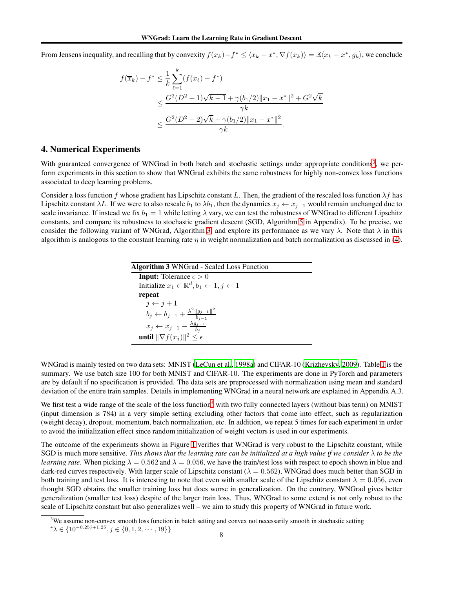From Jensens inequality, and recalling that by convexity  $f(x_k) - f^* \leq \langle x_k - x^*, \nabla f(x_k) \rangle = \mathbb{E} \langle x_k - x^*, g_k \rangle$ , we conclude

$$
f(\overline{x}_k) - f^* \le \frac{1}{k} \sum_{\ell=1}^k (f(x_\ell) - f^*)
$$
  
 
$$
\le \frac{G^2(D^2 + 1)\sqrt{k-1} + \gamma(b_1/2)\|x_1 - x^*\|^2 + G^2\sqrt{k}}{\gamma k}
$$
  
 
$$
\le \frac{G^2(D^2 + 2)\sqrt{k} + \gamma(b_1/2)\|x_1 - x^*\|^2}{\gamma k}.
$$

# 4. Numerical Experiments

With guaranteed convergence of WNGrad in both batch and stochastic settings under appropriate conditions<sup>[3](#page-7-0)</sup>, we perform experiments in this section to show that WNGrad exhibits the same robustness for highly non-convex loss functions associated to deep learning problems.

Consider a loss function f whose gradient has Lipschitz constant L. Then, the gradient of the rescaled loss function  $\lambda f$  has Lipschitz constant  $\lambda L$ . If we were to also rescale  $b_1$  to  $\lambda b_1$ , then the dynamics  $x_j \leftarrow x_{j-1}$  would remain unchanged due to scale invariance. If instead we fix  $b_1 = 1$  while letting  $\lambda$  vary, we can test the robustness of WNGrad to different Lipschitz constants, and compare its robustness to stochastic gradient descent (SGD, Algorithm [5](#page-15-0) in Appendix). To be precise, we consider the following variant of WNGrad, Algorithm [3,](#page-7-1) and explore its performance as we vary  $\lambda$ . Note that  $\lambda$  in this algorithm is analogous to the constant learning rate  $\eta$  in weight normalization and batch normalization as discussed in [\(4\)](#page-2-1).

<span id="page-7-1"></span>

| <b>Algorithm 3 WNGrad - Scaled Loss Function</b>                          |  |  |  |
|---------------------------------------------------------------------------|--|--|--|
| <b>Input:</b> Tolerance $\epsilon > 0$                                    |  |  |  |
| Initialize $x_1 \in \mathbb{R}^d$ , $b_1 \leftarrow 1$ , $j \leftarrow 1$ |  |  |  |
| repeat                                                                    |  |  |  |
| $j \leftarrow j+1$                                                        |  |  |  |
| $b_j \leftarrow b_{j-1} + \frac{\lambda^2   g_{j-1}  ^2}{b_{j-1}}$        |  |  |  |
| $x_j \leftarrow x_{j-1} - \frac{\lambda g_{j-1}}{b_j}$                    |  |  |  |
| until $\ \nabla f(x_i)\ ^2 \leq \epsilon$                                 |  |  |  |

WNGrad is mainly tested on two data sets: MNIST [\(LeCun et al.,](#page-10-9) [1998a\)](#page-10-9) and CIFAR-10 [\(Krizhevsky, 2009\)](#page-10-10). Table [1](#page-15-1) is the summary. We use batch size 100 for both MNIST and CIFAR-10. The experiments are done in PyTorch and parameters are by default if no specification is provided. The data sets are preprocessed with normalization using mean and standard deviation of the entire train samples. Details in implementing WNGrad in a neural network are explained in Appendix A.3.

We first test a wide range of the scale of the loss function<sup>[4](#page-7-2)</sup> with two fully connected layers (without bias term) on MNIST (input dimension is 784) in a very simple setting excluding other factors that come into effect, such as regularization (weight decay), dropout, momentum, batch normalization, etc. In addition, we repeat 5 times for each experiment in order to avoid the initialization effect since random initialization of weight vectors is used in our experiments.

The outcome of the experiments shown in Figure [1](#page-8-0) verifies that WNGrad is very robust to the Lipschitz constant, while SGD is much more sensitive. *This shows that the learning rate can be initialized at a high value if we consider* λ *to be the learning rate.* When picking  $\lambda = 0.562$  and  $\lambda = 0.056$ , we have the train/test loss with respect to epoch shown in blue and dark-red curves respectively. With larger scale of Lipschitz constant ( $\lambda = 0.562$ ), WNGrad does much better than SGD in both training and test loss. It is interesting to note that even with smaller scale of the Lipschitz constant  $\lambda = 0.056$ , even thought SGD obtains the smaller training loss but does worse in generalization. On the contrary, WNGrad gives better generalization (smaller test loss) despite of the larger train loss. Thus, WNGrad to some extend is not only robust to the scale of Lipschitz constant but also generalizes well – we aim to study this property of WNGrad in future work.

 $3$ We assume non-convex smooth loss function in batch setting and convex not necessarily smooth in stochastic setting

<span id="page-7-2"></span><span id="page-7-0"></span> ${}^4\lambda \in \{10^{-0.25j+1.25}, j \in \{0, 1, 2, \cdots, 19\}\}\$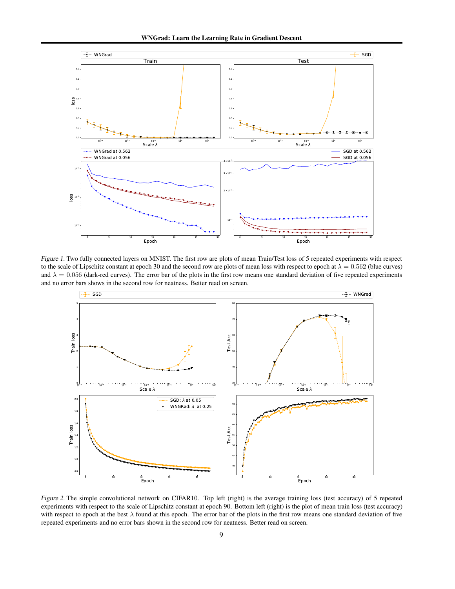

Figure 1. Two fully connected layers on MNIST. The first row are plots of mean Train/Test loss of 5 repeated experiments with respect to the scale of Lipschitz constant at epoch 30 and the second row are plots of mean loss with respect to epoch at  $\lambda = 0.562$  (blue curves) and  $\lambda = 0.056$  (dark-red curves). The error bar of the plots in the first row means one standard deviation of five repeated experiments and no error bars shows in the second row for neatness. Better read on screen.

<span id="page-8-0"></span>

<span id="page-8-1"></span>Figure 2. The simple convolutional network on CIFAR10. Top left (right) is the average training loss (test accuracy) of 5 repeated experiments with respect to the scale of Lipschitz constant at epoch 90. Bottom left (right) is the plot of mean train loss (test accuracy) with respect to epoch at the best  $\lambda$  found at this epoch. The error bar of the plots in the first row means one standard deviation of five repeated experiments and no error bars shown in the second row for neatness. Better read on screen.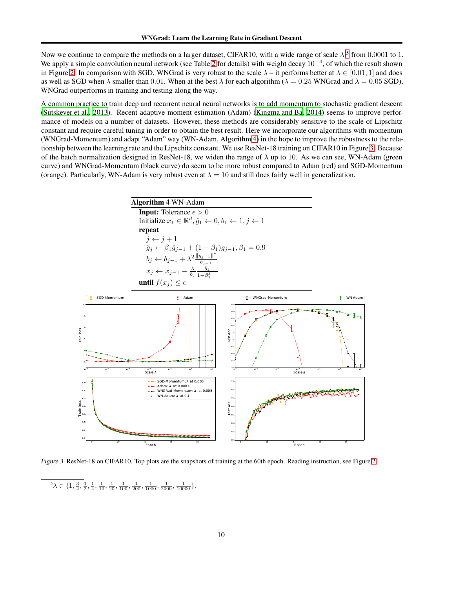Now we continue to compare the methods on a larger dataset, CIFAR10, with a wide range of scale  $\lambda^5$  $\lambda^5$  from 0.0001 to 1. We apply a simple convolution neural network (see Table [2](#page-15-2) for details) with weight decay  $10^{-4}$ , of which the result shown in Figure [2.](#page-8-1) In comparison with SGD, WNGrad is very robust to the scale  $\lambda$  – it performs better at  $\lambda \in [0.01, 1]$  and does as well as SGD when  $\lambda$  smaller than 0.01. When at the best  $\lambda$  for each algorithm ( $\lambda = 0.25$  WNGrad and  $\lambda = 0.05$  SGD), WNGrad outperforms in training and testing along the way.

A common practice to train deep and recurrent neural neural networks is to add momentum to stochastic gradient descent [\(Sutskever et al.](#page-11-10), [2013](#page-11-10)). Recent adaptive moment estimation (Adam) [\(Kingma and Ba](#page-10-6), [2014](#page-10-6)) seems to improve performance of models on a number of datasets. However, these methods are considerably sensitive to the scale of Lipschitz constant and require careful tuning in order to obtain the best result. Here we incorporate our algorithms with momentum (WNGrad-Momentum) and adapt "Adam" way (WN-Adam, Algorithm [4\)](#page-9-1) in the hope to improve the robustness to the relationship between the learning rate and the Lipschitz constant. We use ResNet-18 training on CIFAR10 in Figure [3.](#page-9-2) Because of the batch normalization designed in ResNet-18, we widen the range of  $\lambda$  up to 10. As we can see, WN-Adam (green curve) and WNGrad-Momentum (black curve) do seem to be more robust compared to Adam (red) and SGD-Momentum (orange). Particularly, WN-Adam is very robust even at  $\lambda = 10$  and still does fairly well in generalization.

<span id="page-9-1"></span>

Figure 3. ResNet-18 on CIFAR10. Top plots are the snapshots of training at the 60th epoch. Reading instruction, see Figure [2.](#page-8-1)

<span id="page-9-2"></span><span id="page-9-0"></span> ${}^5\lambda \in \{1, \frac{3}{4}, \frac{1}{2}, \frac{1}{4}, \frac{1}{10}, \frac{1}{20}, \frac{1}{100}, \frac{1}{200}, \frac{1}{1000}, \frac{1}{2000}, \frac{1}{10000}, \frac{1}{10000}\}.$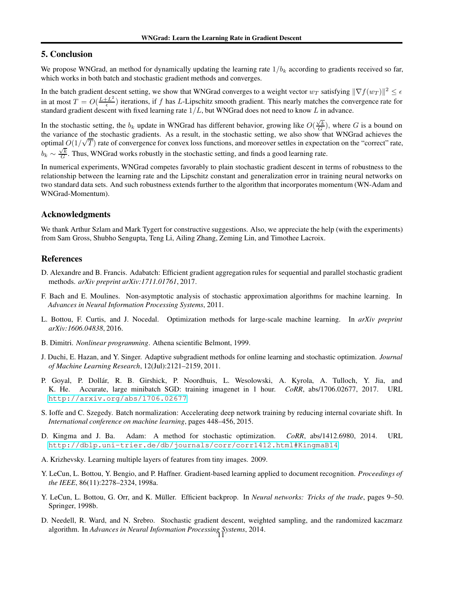# 5. Conclusion

We propose WNGrad, an method for dynamically updating the learning rate  $1/b_k$  according to gradients received so far, which works in both batch and stochastic gradient methods and converges.

In the batch gradient descent setting, we show that WNGrad converges to a weight vector  $w_T$  satisfying  $\|\nabla f(w_T)\|^2 \leq \epsilon$ in at most  $T = O(\frac{L + L^2}{\epsilon})$  $\frac{L}{\epsilon}$ ) iterations, if f has L-Lipschitz smooth gradient. This nearly matches the convergence rate for standard gradient descent with fixed learning rate  $1/L$ , but WNGrad does not need to know  $L$  in advance.

In the stochastic setting, the  $b_k$  update in WNGrad has different behavior, growing like  $O(\frac{\sqrt{k}}{G})$ , where G is a bound on the variance of the stochastic gradients. As a result, in the stochastic setting, we also show that WNGrad achieves the optimal  $O(1/\sqrt{T})$  rate of convergence for convex loss functions, and moreover settles in expectation on the "correct" rate,  $b_k \sim \frac{\sqrt{k}}{G}$ . Thus, WNGrad works robustly in the stochastic setting, and finds a good learning rate.

In numerical experiments, WNGrad competes favorably to plain stochastic gradient descent in terms of robustness to the relationship between the learning rate and the Lipschitz constant and generalization error in training neural networks on two standard data sets. And such robustness extends further to the algorithm that incorporates momentum (WN-Adam and WNGrad-Momentum).

# Acknowledgments

We thank Arthur Szlam and Mark Tygert for constructive suggestions. Also, we appreciate the help (with the experiments) from Sam Gross, Shubho Sengupta, Teng Li, Ailing Zhang, Zeming Lin, and Timothee Lacroix.

### **References**

- <span id="page-10-7"></span>D. Alexandre and B. Francis. Adabatch: Efficient gradient aggregation rules for sequential and parallel stochastic gradient methods. *arXiv preprint arXiv:1711.01761*, 2017.
- <span id="page-10-2"></span>F. Bach and E. Moulines. Non-asymptotic analysis of stochastic approximation algorithms for machine learning. In *Advances in Neural Information Processing Systems*, 2011.
- <span id="page-10-1"></span>L. Bottou, F. Curtis, and J. Nocedal. Optimization methods for large-scale machine learning. In *arXiv preprint arXiv:1606.04838*, 2016.
- <span id="page-10-0"></span>B. Dimitri. *Nonlinear programming*. Athena scientific Belmont, 1999.
- <span id="page-10-5"></span>J. Duchi, E. Hazan, and Y. Singer. Adaptive subgradient methods for online learning and stochastic optimization. *Journal of Machine Learning Research*, 12(Jul):2121–2159, 2011.
- <span id="page-10-4"></span>P. Goyal, P. Dollár, R. B. Girshick, P. Noordhuis, L. Wesolowski, A. Kyrola, A. Tulloch, Y. Jia, and K. He. Accurate, large minibatch SGD: training imagenet in 1 hour. *CoRR*, abs/1706.02677, 2017. URL <http://arxiv.org/abs/1706.02677>.
- <span id="page-10-8"></span>S. Ioffe and C. Szegedy. Batch normalization: Accelerating deep network training by reducing internal covariate shift. In *International conference on machine learning*, pages 448–456, 2015.
- <span id="page-10-6"></span>D. Kingma and J. Ba. Adam: A method for stochastic optimization. *CoRR*, abs/1412.6980, 2014. URL <http://dblp.uni-trier.de/db/journals/corr/corr1412.html#KingmaB14>.
- <span id="page-10-10"></span>A. Krizhevsky. Learning multiple layers of features from tiny images. 2009.
- <span id="page-10-9"></span>Y. LeCun, L. Bottou, Y. Bengio, and P. Haffner. Gradient-based learning applied to document recognition. *Proceedings of the IEEE*, 86(11):2278–2324, 1998a.
- <span id="page-10-11"></span>Y. LeCun, L. Bottou, G. Orr, and K. Müller. Efficient backprop. In *Neural networks: Tricks of the trade*, pages 9–50. Springer, 1998b.
- <span id="page-10-3"></span>D. Needell, R. Ward, and N. Srebro. Stochastic gradient descent, weighted sampling, and the randomized kaczmarz algorithm. In *Advances in Neural Information Processing Systems*, 2014. 11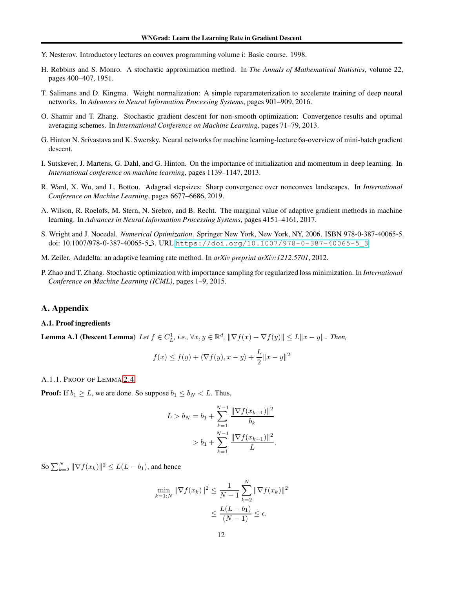- <span id="page-11-9"></span>Y. Nesterov. Introductory lectures on convex programming volume i: Basic course. 1998.
- <span id="page-11-1"></span>H. Robbins and S. Monro. A stochastic approximation method. In *The Annals of Mathematical Statistics*, volume 22, pages 400–407, 1951.
- <span id="page-11-8"></span>T. Salimans and D. Kingma. Weight normalization: A simple reparameterization to accelerate training of deep neural networks. In *Advances in Neural Information Processing Systems*, pages 901–909, 2016.
- <span id="page-11-3"></span>O. Shamir and T. Zhang. Stochastic gradient descent for non-smooth optimization: Convergence results and optimal averaging schemes. In *International Conference on Machine Learning*, pages 71–79, 2013.
- <span id="page-11-5"></span>G. Hinton N. Srivastava and K. Swersky. Neural networks for machine learning-lecture 6a-overview of mini-batch gradient descent.
- <span id="page-11-10"></span>I. Sutskever, J. Martens, G. Dahl, and G. Hinton. On the importance of initialization and momentum in deep learning. In *International conference on machine learning*, pages 1139–1147, 2013.
- <span id="page-11-2"></span>R. Ward, X. Wu, and L. Bottou. Adagrad stepsizes: Sharp convergence over nonconvex landscapes. In *International Conference on Machine Learning*, pages 6677–6686, 2019.
- <span id="page-11-6"></span>A. Wilson, R. Roelofs, M. Stern, N. Srebro, and B. Recht. The marginal value of adaptive gradient methods in machine learning. In *Advances in Neural Information Processing Systems*, pages 4151–4161, 2017.
- <span id="page-11-0"></span>S. Wright and J. Nocedal. *Numerical Optimization*. Springer New York, New York, NY, 2006. ISBN 978-0-387-40065-5. doi: 10.1007/978-0-387-40065-5\_3. URL [https://doi.org/10.1007/978-0-387-40065-5\\_3](https://doi.org/10.1007/978-0-387-40065-5_3).
- <span id="page-11-4"></span>M. Zeiler. Adadelta: an adaptive learning rate method. In *arXiv preprint arXiv:1212.5701*, 2012.
- <span id="page-11-7"></span>P. Zhao and T. Zhang. Stochastic optimization with importance sampling for regularized loss minimization. In *International Conference on Machine Learning (ICML)*, pages 1–9, 2015.

## A. Appendix

#### <span id="page-11-11"></span>A.1. Proof ingredients

**Lemma A.1 (Descent Lemma)** Let  $f \in C_L^1$ , i.e.,  $\forall x, y \in \mathbb{R}^d$ ,  $\|\nabla f(x) - \nabla f(y)\| \le L \|x - y\|$ .. Then,

$$
f(x) \le f(y) + \langle \nabla f(y), x - y \rangle + \frac{L}{2} ||x - y||^2
$$

A.1.1. PROOF OF LEMMA [2.4](#page-4-1)

**Proof:** If  $b_1 \geq L$ , we are done. So suppose  $b_1 \leq b_N < L$ . Thus,

$$
L > b_N = b_1 + \sum_{k=1}^{N-1} \frac{\|\nabla f(x_{k+1})\|^2}{b_k}
$$
  
>  $b_1 + \sum_{k=1}^{N-1} \frac{\|\nabla f(x_{k+1})\|^2}{L}.$ 

So  $\sum_{k=2}^{N} \|\nabla f(x_k)\|^2 \le L(L - b_1)$ , and hence

$$
\min_{k=1:N} \|\nabla f(x_k)\|^2 \le \frac{1}{N-1} \sum_{k=2}^N \|\nabla f(x_k)\|^2
$$
  

$$
\le \frac{L(L-b_1)}{(N-1)} \le \epsilon.
$$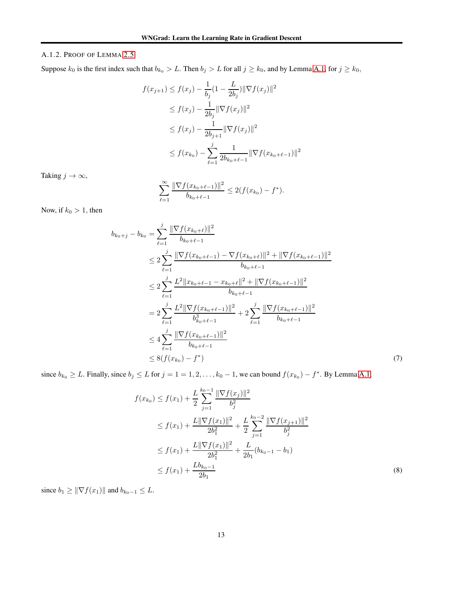# A.1.2. PROOF OF LEMMA [2.5](#page-5-0)

Suppose  $k_0$  is the first index such that  $b_{k_0} > L$ . Then  $b_j > L$  for all  $j \ge k_0$ , and by Lemma [A.1,](#page-11-11) for  $j \ge k_0$ ,

$$
f(x_{j+1}) \le f(x_j) - \frac{1}{b_j} (1 - \frac{L}{2b_j}) \|\nabla f(x_j)\|^2
$$
  
\n
$$
\le f(x_j) - \frac{1}{2b_j} \|\nabla f(x_j)\|^2
$$
  
\n
$$
\le f(x_j) - \frac{1}{2b_{j+1}} \|\nabla f(x_j)\|^2
$$
  
\n
$$
\le f(x_{k_0}) - \sum_{\ell=1}^j \frac{1}{2b_{k_0+\ell-1}} \|\nabla f(x_{k_0+\ell-1})\|^2
$$

Taking  $j \to \infty$ ,

$$
\sum_{\ell=1}^{\infty} \frac{\|\nabla f(x_{k_0+\ell-1})\|^2}{b_{k_0+\ell-1}} \leq 2(f(x_{k_0})-f^*).
$$

Now, if  $k_0 > 1$ , then

$$
b_{k_0+j} - b_{k_0} = \sum_{\ell=1}^{j} \frac{\|\nabla f(x_{k_0+\ell})\|^2}{b_{k_0+\ell-1}}
$$
  
\n
$$
\leq 2 \sum_{\ell=1}^{j} \frac{\|\nabla f(x_{k_0+\ell-1}) - \nabla f(x_{k_0+\ell})\|^2 + \|\nabla f(x_{k_0+\ell-1})\|^2}{b_{k_0+\ell-1}}
$$
  
\n
$$
\leq 2 \sum_{\ell=1}^{j} \frac{L^2 \|x_{k_0+\ell-1} - x_{k_0+\ell}\|^2 + \|\nabla f(x_{k_0+\ell-1})\|^2}{b_{k_0+\ell-1}}
$$
  
\n
$$
= 2 \sum_{\ell=1}^{j} \frac{L^2 \|\nabla f(x_{k_0+\ell-1})\|^2}{b_{k_0+\ell-1}^2} + 2 \sum_{\ell=1}^{j} \frac{\|\nabla f(x_{k_0+\ell-1})\|^2}{b_{k_0+\ell-1}}
$$
  
\n
$$
\leq 4 \sum_{\ell=1}^{j} \frac{\|\nabla f(x_{k_0+\ell-1})\|^2}{b_{k_0+\ell-1}}
$$
  
\n
$$
\leq 8(f(x_{k_0}) - f^*)
$$
  
\n(7)

since  $b_{k_0} \ge L$ . Finally, since  $b_j \le L$  for  $j = 1 = 1, 2, ..., k_0 - 1$ , we can bound  $f(x_{k_0}) - f^*$ . By Lemma [A.1,](#page-11-11)

$$
f(x_{k_0}) \le f(x_1) + \frac{L}{2} \sum_{j=1}^{k_0 - 1} \frac{\|\nabla f(x_j)\|^2}{b_j^2}
$$
  
\n
$$
\le f(x_1) + \frac{L\|\nabla f(x_1)\|^2}{2b_1^2} + \frac{L}{2} \sum_{j=1}^{k_0 - 2} \frac{\|\nabla f(x_{j+1})\|^2}{b_j^2}
$$
  
\n
$$
\le f(x_1) + \frac{L\|\nabla f(x_1)\|^2}{2b_1^2} + \frac{L}{2b_1}(b_{k_0 - 1} - b_1)
$$
  
\n
$$
\le f(x_1) + \frac{Lb_{k_0 - 1}}{2b_1}
$$
 (8)

since  $b_1 \geq \|\nabla f(x_1)\|$  and  $b_{k_0-1} \leq L$ .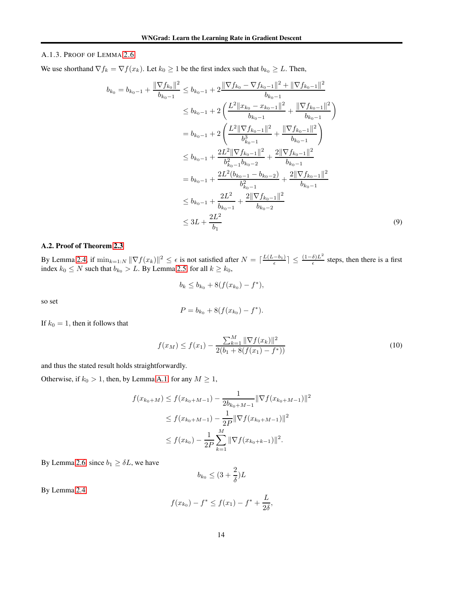#### A.1.3. PROOF OF LEMMA [2.6](#page-5-2)

We use shorthand  $\nabla f_k = \nabla f(x_k)$ . Let  $k_0 \ge 1$  be the first index such that  $b_{k_0} \ge L$ . Then,

$$
b_{k_0} = b_{k_0-1} + \frac{\|\nabla f_{k_0}\|^2}{b_{k_0-1}} \le b_{k_0-1} + 2\frac{\|\nabla f_{k_0} - \nabla f_{k_0-1}\|^2 + \|\nabla f_{k_0-1}\|^2}{b_{k_0-1}} \\
\le b_{k_0-1} + 2\left(\frac{L^2 \|x_{k_0} - x_{k_0-1}\|^2}{b_{k_0-1}} + \frac{\|\nabla f_{k_0-1}\|^2}{b_{k_0-1}}\right) \\
= b_{k_0-1} + 2\left(\frac{L^2 \|\nabla f_{k_0-1}\|^2}{b_{k_0-1}^3} + \frac{\|\nabla f_{k_0-1}\|^2}{b_{k_0-1}}\right) \\
\le b_{k_0-1} + \frac{2L^2 \|\nabla f_{k_0-1}\|^2}{b_{k_0-1}^2 b_{k_0-2}} + \frac{2\|\nabla f_{k_0-1}\|^2}{b_{k_0-1}} \\
= b_{k_0-1} + \frac{2L^2 (b_{k_0-1} - b_{k_0-2})}{b_{k_0-1}^2} + \frac{2\|\nabla f_{k_0-1}\|^2}{b_{k_0-1}} \\
\le b_{k_0-1} + \frac{2L^2}{b_{k_0-1}^2} + \frac{2\|\nabla f_{k_0-1}\|^2}{b_{k_0-2}} \\
\le 3L + \frac{2L^2}{b_1} \tag{9}
$$

### A.2. Proof of Theorem [2.3](#page-4-0)

By Lemma [2.4,](#page-4-1) if  $\min_{k=1:N} \|\nabla f(x_k)\|^2 \leq \epsilon$  is not satisfied after  $N = \lceil \frac{L(L-b_1)}{\epsilon} \rceil \leq \frac{(1-\delta)L^2}{\epsilon}$  $\frac{\partial L}{\partial \epsilon}$  steps, then there is a first index  $k_0 \leq N$  such that  $b_{k_0} > L$ . By Lemma [2.5,](#page-5-0) for all  $k \geq k_0$ ,

$$
b_k \le b_{k_0} + 8(f(x_{k_0}) - f^*),
$$

so set

$$
P = b_{k_0} + 8(f(x_{k_0}) - f^*).
$$

If  $k_0 = 1$ , then it follows that

$$
f(x_M) \le f(x_1) - \frac{\sum_{k=1}^{M} \|\nabla f(x_k)\|^2}{2(b_1 + 8(f(x_1) - f^*))}
$$
\n(10)

and thus the stated result holds straightforwardly.

Otherwise, if  $k_0 > 1$ , then, by Lemma [A.1,](#page-11-11) for any  $M \ge 1$ ,

$$
f(x_{k_0+M}) \le f(x_{k_0+M-1}) - \frac{1}{2b_{k_0+M-1}} \|\nabla f(x_{k_0+M-1})\|^2
$$
  

$$
\le f(x_{k_0+M-1}) - \frac{1}{2P} \|\nabla f(x_{k_0+M-1})\|^2
$$
  

$$
\le f(x_{k_0}) - \frac{1}{2P} \sum_{k=1}^M \|\nabla f(x_{k_0+k-1})\|^2.
$$

By Lemma [2.6,](#page-5-2) since  $b_1 \geq \delta L$ , we have

$$
b_{k_0} \le (3 + \frac{2}{\delta})L
$$

By Lemma [2.4,](#page-4-1)

$$
f(x_{k_0}) - f^* \le f(x_1) - f^* + \frac{L}{2\delta},
$$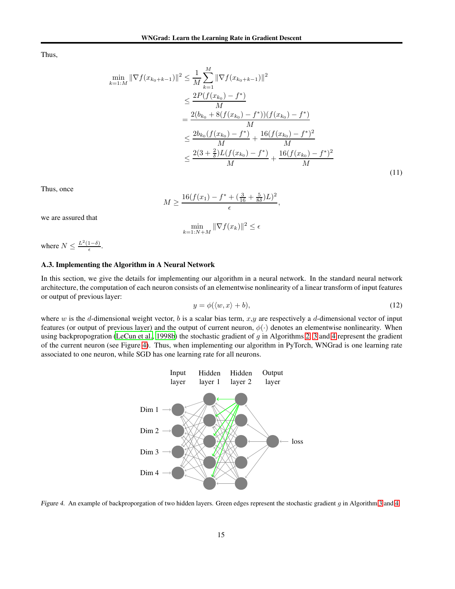Thus,

$$
\min_{k=1:M} \|\nabla f(x_{k_0+k-1})\|^2 \leq \frac{1}{M} \sum_{k=1}^M \|\nabla f(x_{k_0+k-1})\|^2
$$
\n
$$
\leq \frac{2P(f(x_{k_0}) - f^*)}{M}
$$
\n
$$
= \frac{2(b_{k_0} + 8(f(x_{k_0}) - f^*)) (f(x_{k_0}) - f^*)}{M}
$$
\n
$$
\leq \frac{2b_{k_0} (f(x_{k_0}) - f^*)}{M} + \frac{16(f(x_{k_0}) - f^*)^2}{M}
$$
\n
$$
\leq \frac{2(3 + \frac{2}{\delta})L(f(x_{k_0}) - f^*)}{M} + \frac{16(f(x_{k_0}) - f^*)^2}{M}
$$
\n(11)

Thus, once

$$
M \ge \frac{16(f(x_1) - f^* + (\frac{3}{16} + \frac{5}{8\delta})L)^2}{\epsilon},
$$

we are assured that

$$
\min_{k=1:N+M} \|\nabla f(x_k)\|^2 \le \epsilon
$$

where  $N \leq \frac{L^2(1-\delta)}{\epsilon}$ .

#### A.3. Implementing the Algorithm in A Neural Network

In this section, we give the details for implementing our algorithm in a neural network. In the standard neural network architecture, the computation of each neuron consists of an elementwise nonlinearity of a linear transform of input features or output of previous layer:

$$
y = \phi(\langle w, x \rangle + b), \tag{12}
$$

where  $w$  is the d-dimensional weight vector,  $b$  is a scalar bias term,  $x,y$  are respectively a d-dimensional vector of input features (or output of previous layer) and the output of current neuron,  $\phi(\cdot)$  denotes an elementwise nonlinearity. When using backpropogration [\(LeCun et al.](#page-10-11), [1998b\)](#page-10-11) the stochastic gradient of g in Algorithms [2,](#page-5-3) [3](#page-7-1) and [4](#page-9-1) represent the gradient of the current neuron (see Figure [4\)](#page-14-0). Thus, when implementing our algorithm in PyTorch, WNGrad is one learning rate associated to one neuron, while SGD has one learning rate for all neurons.



<span id="page-14-0"></span>Figure 4. An example of backproporgation of two hidden layers. Green edges represent the stochastic gradient g in Algorithm [3](#page-7-1) and [4.](#page-9-1)